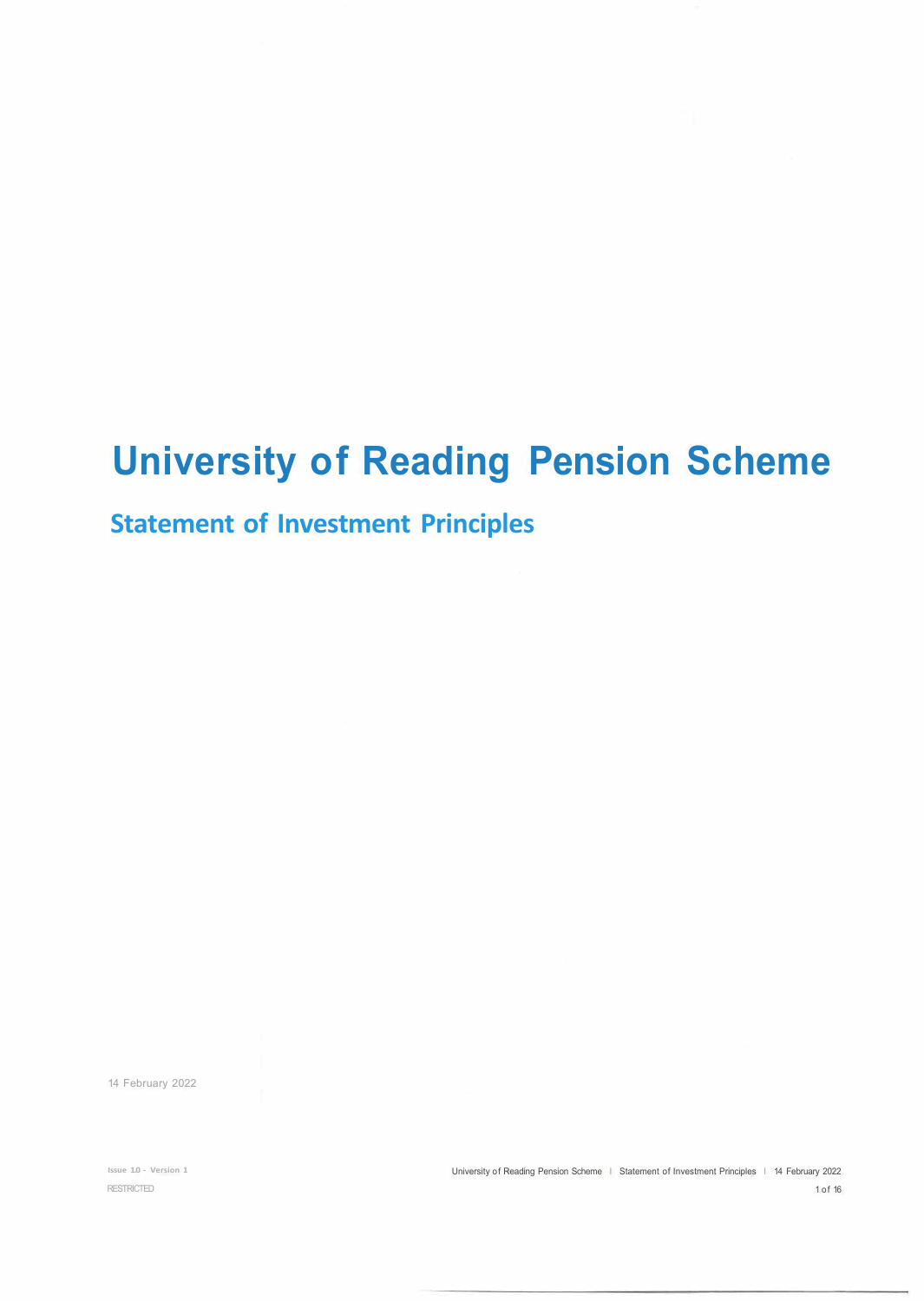# **University of Reading Pension Scheme**

# **Statement of Investment Principles**

14 February 2022

**Issue 1.0 - Version 1**  RESTRICTED

University of Reading Pension Scheme | Statement of Investment Principles | 14 February 2022 1 of 16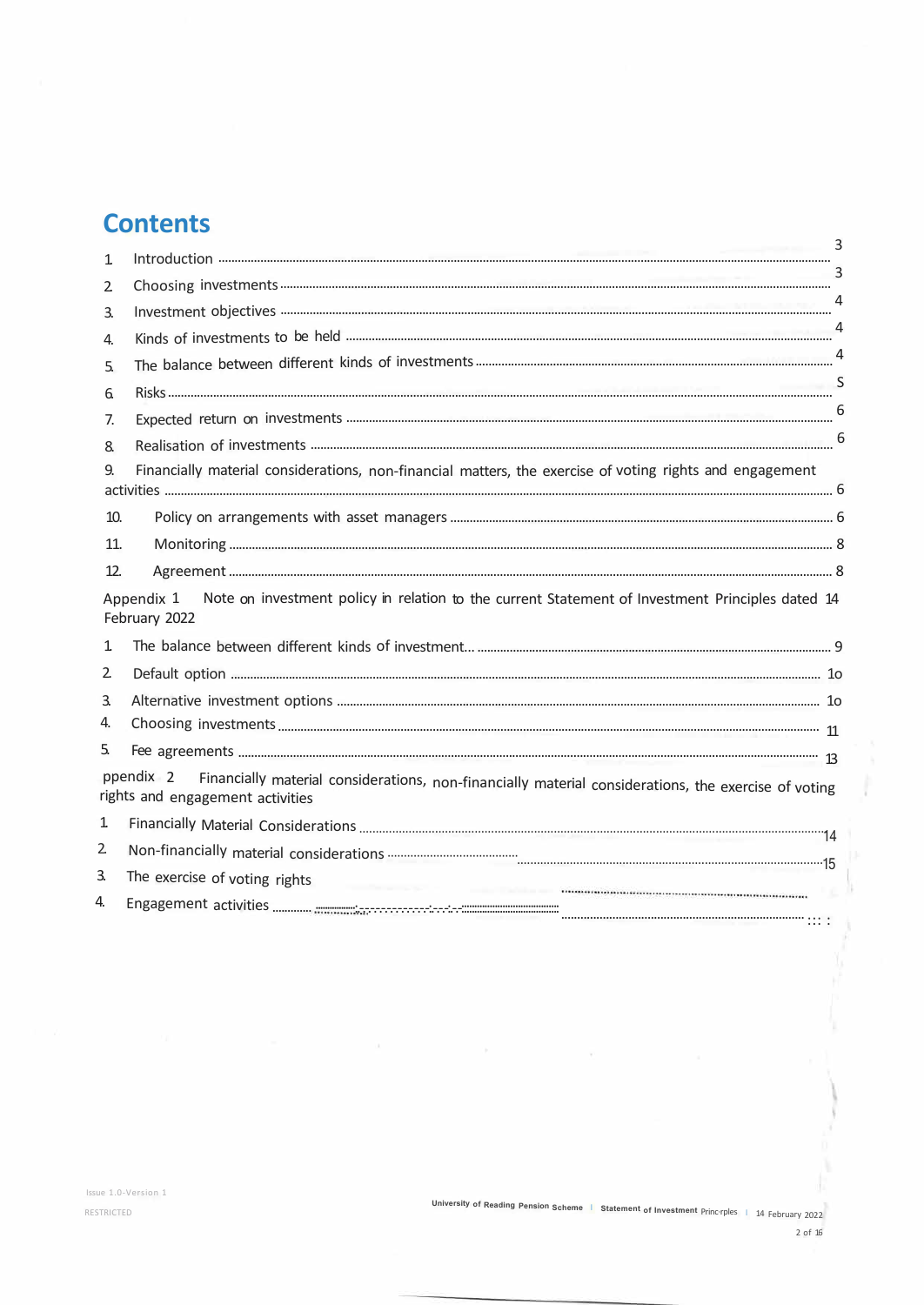# **Contents**

| 1                |                                                                                                                                                                                                                                                                |   |
|------------------|----------------------------------------------------------------------------------------------------------------------------------------------------------------------------------------------------------------------------------------------------------------|---|
| 2                |                                                                                                                                                                                                                                                                | 4 |
| $\overline{3}$ . |                                                                                                                                                                                                                                                                |   |
| 4.               |                                                                                                                                                                                                                                                                |   |
| 5.               |                                                                                                                                                                                                                                                                |   |
| 6.               |                                                                                                                                                                                                                                                                |   |
| 7.               |                                                                                                                                                                                                                                                                |   |
| 8.               |                                                                                                                                                                                                                                                                |   |
| 9.               | Financially material considerations, non-financial matters, the exercise of voting rights and engagement                                                                                                                                                       |   |
| 10.              |                                                                                                                                                                                                                                                                |   |
| 11.              |                                                                                                                                                                                                                                                                |   |
| 12.              |                                                                                                                                                                                                                                                                |   |
|                  | Note on investment policy in relation to the current Statement of Investment Principles dated 14<br>Appendix 1<br>February 2022                                                                                                                                |   |
| 1                |                                                                                                                                                                                                                                                                |   |
| 2                |                                                                                                                                                                                                                                                                |   |
| 3.               |                                                                                                                                                                                                                                                                |   |
| 4.               |                                                                                                                                                                                                                                                                |   |
| 5.               |                                                                                                                                                                                                                                                                |   |
|                  | ppendix 2<br>Financially material considerations, non-financially material considerations, the exercise of voting<br>rights and engagement activities                                                                                                          |   |
| 1                |                                                                                                                                                                                                                                                                |   |
| $\overline{2}$   |                                                                                                                                                                                                                                                                |   |
| 3.               | The exercise of voting rights<br>the company of the company of the company of the company of the company of the company of the company of the company of the company of the company of the company of the company of the company of the company of the company |   |
| 4.               |                                                                                                                                                                                                                                                                |   |

 $\sim$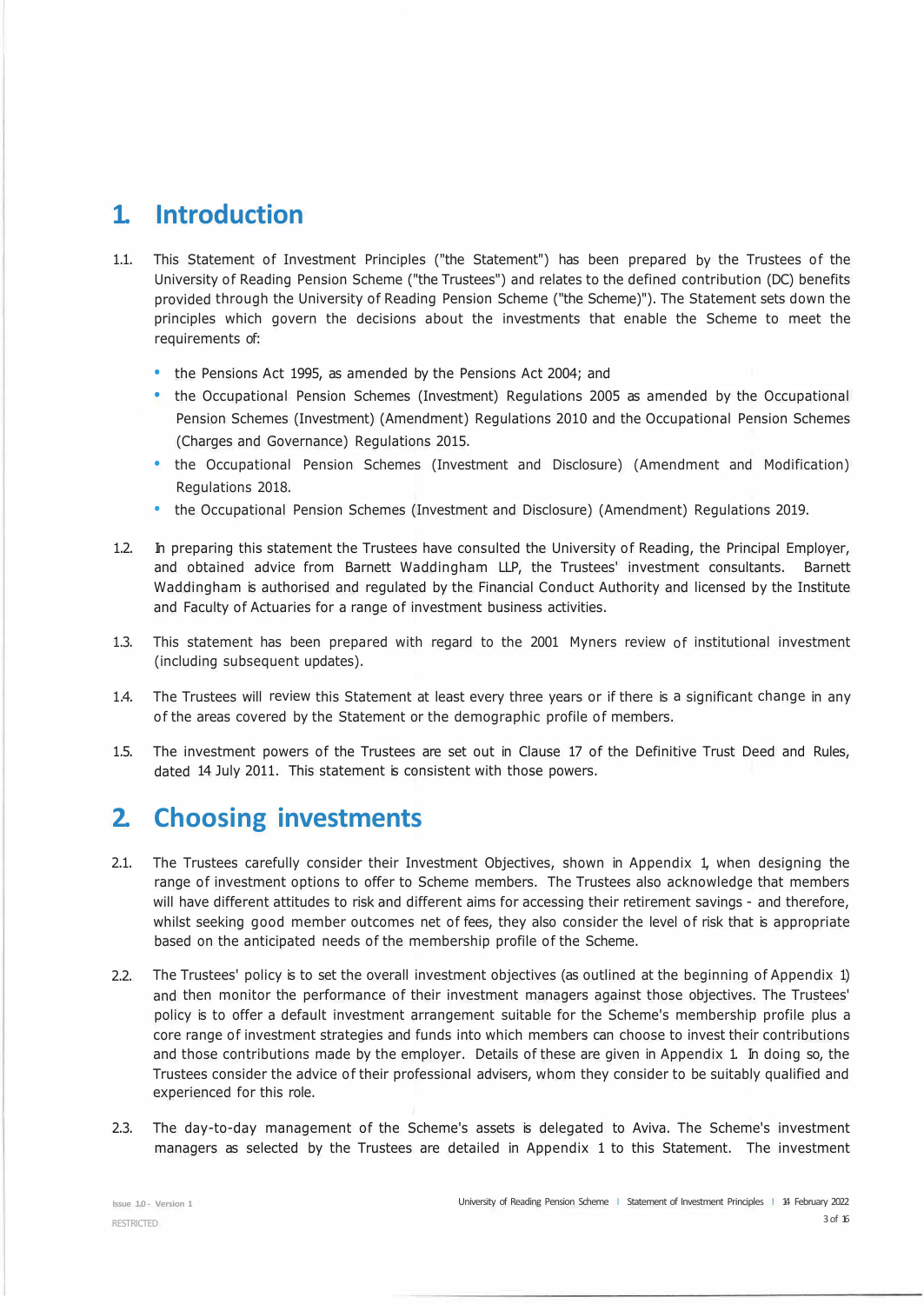# **1. Introduction**

- 1.1. This Statement of Investment Principles ("the Statement") has been prepared by the Trustees of the University of Reading Pension Scheme ("the Trustees") and relates to the defined contribution (DC) benefits provided through the University of Reading Pension Scheme ("the Scheme)"). The Statement sets down the principles which govern the decisions about the investments that enable the Scheme to meet the requirements of:
	- the Pensions Act 1995, as amended by the Pensions Act 2004; and
	- the Occupational Pension Schemes (Investment) Regulations 2005 as amended by the Occupational Pension Schemes (Investment) (Amendment) Regulations 2010 and the Occupational Pension Schemes (Charges and Governance) Regulations 2015.
	- the Occupational Pension Schemes (Investment and Disclosure) (Amendment and Modification) Regulations 2018.
	- the Occupational Pension Schemes (Investment and Disclosure) (Amendment) Regulations 2019.
- 1.2. In preparing this statement the Trustees have consulted the University of Reading, the Principal Employer, and obtained advice from Barnett Waddingham LLP, the Trustees' investment consultants. Barnett Waddingham is authorised and regulated by the Financial Conduct Authority and licensed by the Institute and Faculty of Actuaries for a range of investment business activities.
- 1.3. This statement has been prepared with regard to the 2001 Myners review of institutional investment (including subsequent updates).
- 1.4. The Trustees will review this Statement at least every three years or if there is a significant change in any of the areas covered by the Statement or the demographic profile of members.
- 1.5. The investment powers of the Trustees are set out in Clause 17 of the Definitive Trust Deed and Rules, dated 14 July 2011. This statement is consistent with those powers.

# **2. Choosing investments**

- 2.1. The Trustees carefully consider their Investment Objectives, shown in Appendix 1, when designing the range of investment options to offer to Scheme members. The Trustees also acknowledge that members will have different attitudes to risk and different aims for accessing their retirement savings - and therefore, whilst seeking good member outcomes net of fees, they also consider the level of risk that is appropriate based on the anticipated needs of the membership profile of the Scheme.
- 2.2. The Trustees' policy is to set the overall investment objectives (as outlined at the beginning of Appendix 1) and then monitor the performance of their investment managers against those objectives. The Trustees' policy is to offer a default investment arrangement suitable for the Scheme's membership profile plus a core range of investment strategies and funds into which members can choose to invest their contributions and those contributions made by the employer. Details of these are given in Appendix 1. In doing so, the Trustees consider the advice of their professional advisers, whom they consider to be suitably qualified and experienced for this role.
- 2.3. The day-to-day management of the Scheme's assets is delegated to Aviva. The Scheme's investment managers as selected by the Trustees are detailed in Appendix 1 to this Statement. The investment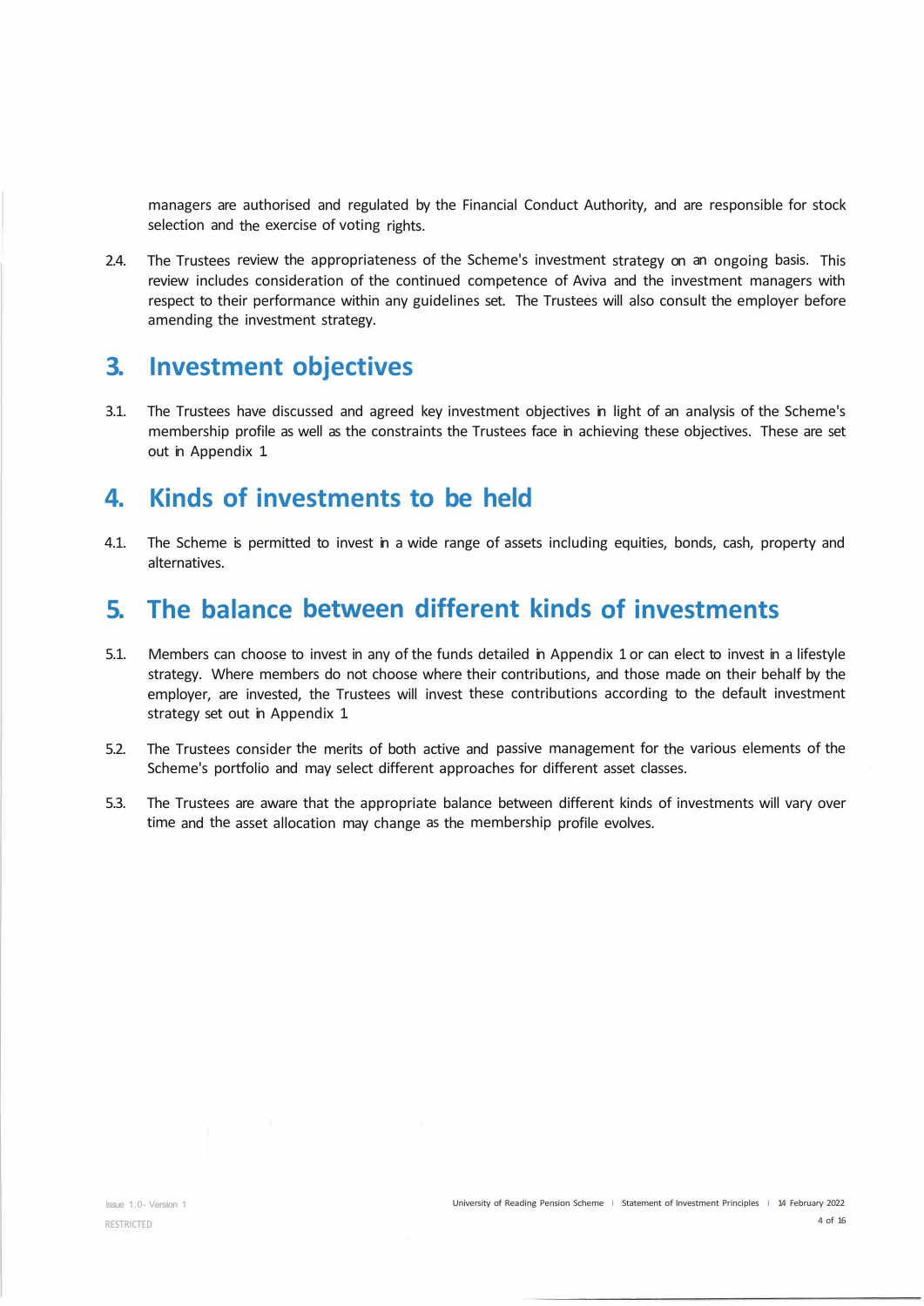managers are authorised and regulated by the Financial Conduct Authority, and are responsible for stock selection and the exercise of voting rights.

2.4. The Trustees review the appropriateness of the Scheme's investment strategy on an ongoing basis. This review includes consideration of the continued competence of Aviva and the investment managers with respect to their performance within any guidelines set. The Trustees will also consult the employer before amending the investment strategy.

### **3. Investment objectives**

3.1. The Trustees have discussed and agreed key investment objectives in light of an analysis of the Scheme's membership profile as well as the constraints the Trustees face in achieving these objectives. These are set out in Appendix 1.

# **4. Kinds of investments to be held**

4.1. The Scheme is permitted to invest in a wide range of assets including equities, bonds, cash, property and alternatives.

# **5. The balance between different kinds of investments**

- 5.1. Members can choose to invest in any of the funds detailed in Appendix 1 or can elect to invest in a lifestyle strategy. Where members do not choose where their contributions, and those made on their behalf by the employer, are invested, the Trustees will invest these contributions according to the default investment strategy set out in Appendix 1.
- 5.2. The Trustees consider the merits of both active and passive management for the various elements of the Scheme's portfolio and may select different approaches for different asset classes.
- 5.3. The Trustees are aware that the appropriate balance between different kinds of investments will vary over time and the asset allocation may change as the membership profile evolves.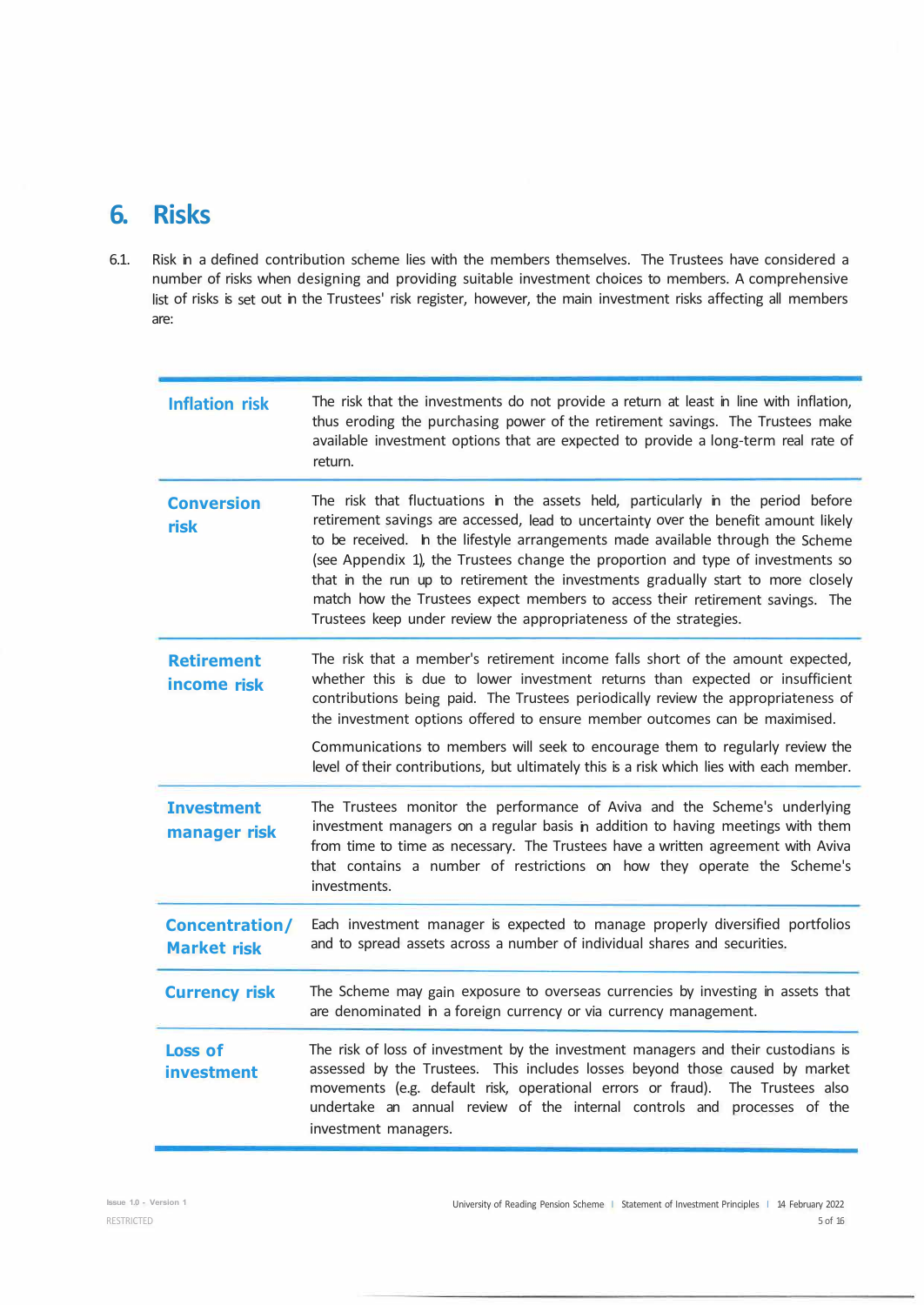# **6. Risks**

6.1. Risk in a defined contribution scheme lies with the members themselves. The Trustees have considered a number of risks when designing and providing suitable investment choices to members. A comprehensive list of risks is set out in the Trustees' risk register, however, the main investment risks affecting all members are:

| <b>Inflation risk</b>                       | The risk that the investments do not provide a return at least in line with inflation,<br>thus eroding the purchasing power of the retirement savings. The Trustees make<br>available investment options that are expected to provide a long-term real rate of<br>return.                                                                                                                                                                                                                                                                                                               |
|---------------------------------------------|-----------------------------------------------------------------------------------------------------------------------------------------------------------------------------------------------------------------------------------------------------------------------------------------------------------------------------------------------------------------------------------------------------------------------------------------------------------------------------------------------------------------------------------------------------------------------------------------|
| <b>Conversion</b><br>risk                   | The risk that fluctuations in the assets held, particularly in the period before<br>retirement savings are accessed, lead to uncertainty over the benefit amount likely<br>to be received. In the lifestyle arrangements made available through the Scheme<br>(see Appendix 1), the Trustees change the proportion and type of investments so<br>that in the run up to retirement the investments gradually start to more closely<br>match how the Trustees expect members to access their retirement savings. The<br>Trustees keep under review the appropriateness of the strategies. |
| <b>Retirement</b><br>income risk            | The risk that a member's retirement income falls short of the amount expected,<br>whether this is due to lower investment returns than expected or insufficient<br>contributions being paid. The Trustees periodically review the appropriateness of<br>the investment options offered to ensure member outcomes can be maximised.<br>Communications to members will seek to encourage them to regularly review the<br>level of their contributions, but ultimately this is a risk which lies with each member.                                                                         |
| <b>Investment</b><br>manager risk           | The Trustees monitor the performance of Aviva and the Scheme's underlying<br>investment managers on a regular basis in addition to having meetings with them<br>from time to time as necessary. The Trustees have a written agreement with Aviva<br>that contains a number of restrictions on how they operate the Scheme's<br>investments.                                                                                                                                                                                                                                             |
| <b>Concentration/</b><br><b>Market risk</b> | Each investment manager is expected to manage properly diversified portfolios<br>and to spread assets across a number of individual shares and securities.                                                                                                                                                                                                                                                                                                                                                                                                                              |
| <b>Currency risk</b>                        | The Scheme may gain exposure to overseas currencies by investing in assets that<br>are denominated in a foreign currency or via currency management.                                                                                                                                                                                                                                                                                                                                                                                                                                    |
| <b>Loss of</b><br><b>investment</b>         | The risk of loss of investment by the investment managers and their custodians is<br>assessed by the Trustees. This includes losses beyond those caused by market<br>movements (e.g. default risk, operational errors or fraud). The Trustees also<br>undertake an annual review of the internal controls and processes of the<br>investment managers.                                                                                                                                                                                                                                  |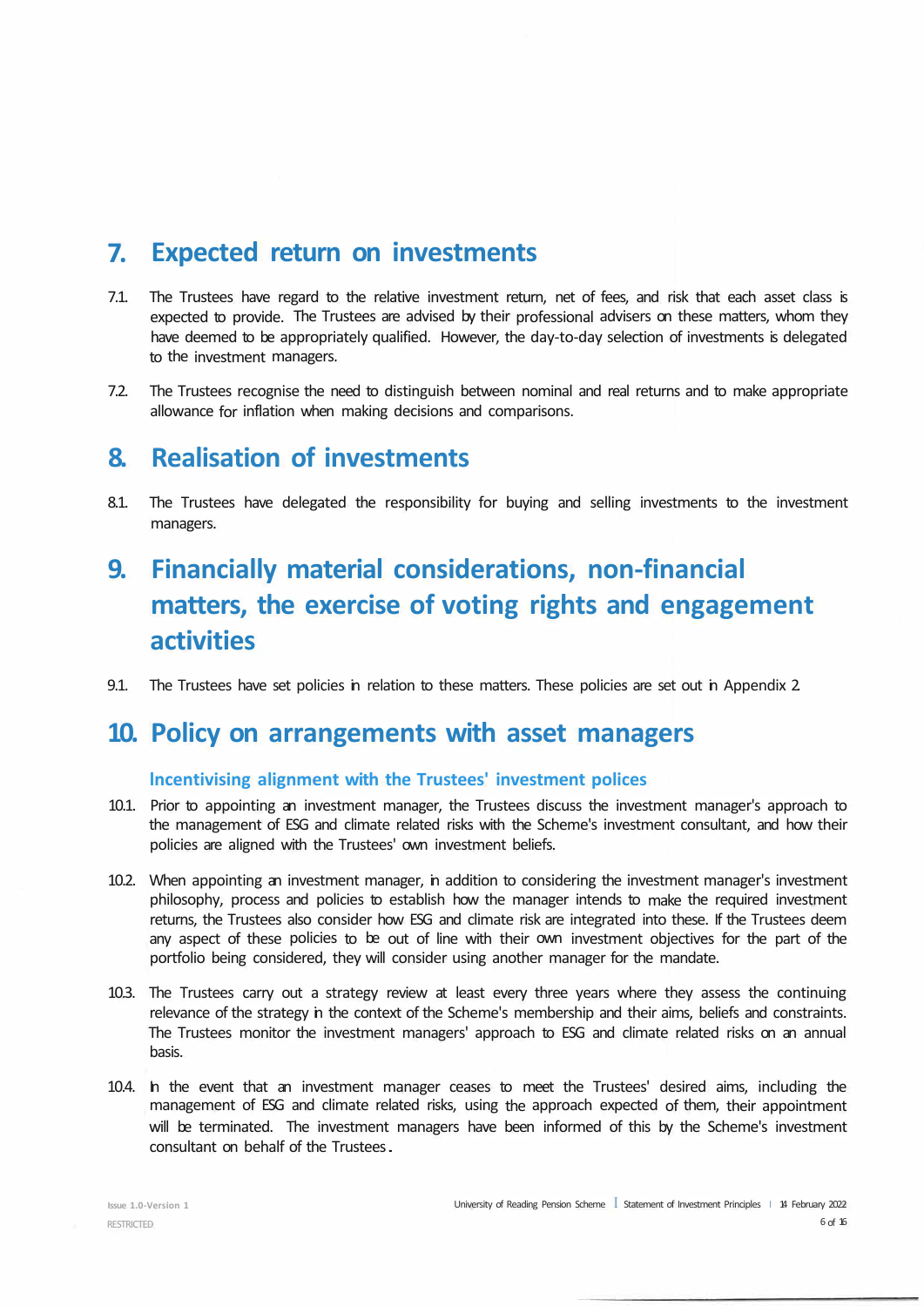# **7. Expected return on investments**

- 7.1. The Trustees have regard to the relative investment return, net of fees, and risk that each asset class is expected to provide. The Trustees are advised by their professional advisers on these matters, whom they have deemed to be appropriately qualified. However, the day-to-day selection of investments is delegated to the investment managers.
- 7.2. The Trustees recognise the need to distinguish between nominal and real returns and to make appropriate allowance for inflation when making decisions and comparisons.

### **8. Realisation of investments**

8.1. The Trustees have delegated the responsibility for buying and selling investments to the investment managers.

# **9. Financially material considerations, non-financial matters, the exercise of voting rights and engagement activities**

9.1. The Trustees have set policies in relation to these matters. These policies are set out in Appendix 2.

### **10. Policy on arrangements with asset managers**

#### **lncentivising alignment with the Trustees' investment polices**

- 10.1. Prior to appointing an investment manager, the Trustees discuss the investment manager's approach to the management of ESG and climate related risks with the Scheme's investment consultant, and how their policies are aligned with the Trustees' own investment beliefs.
- 10.2. When appointing an investment manager, in addition to considering the investment manager's investment philosophy, process and policies to establish how the manager intends to make the required investment returns, the Trustees also consider how ESG and climate risk are integrated into these. If the Trustees deem any aspect of these policies to be out of line with their own investment objectives for the part of the portfolio being considered, they will consider using another manager for the mandate.
- 10.3. The Trustees carry out a strategy review at least every three years where they assess the continuing relevance of the strategy in the context of the Scheme's membership and their aims, beliefs and constraints. The Trustees monitor the investment managers' approach to ESG and climate related risks on an annual basis.
- 10.4. In the event that an investment manager ceases to meet the Trustees' desired aims, including the management of ESG and climate related risks, using the approach expected of them, their appointment will be terminated. The investment managers have been informed of this by the Scheme's investment consultant on behalf of the Trustees ..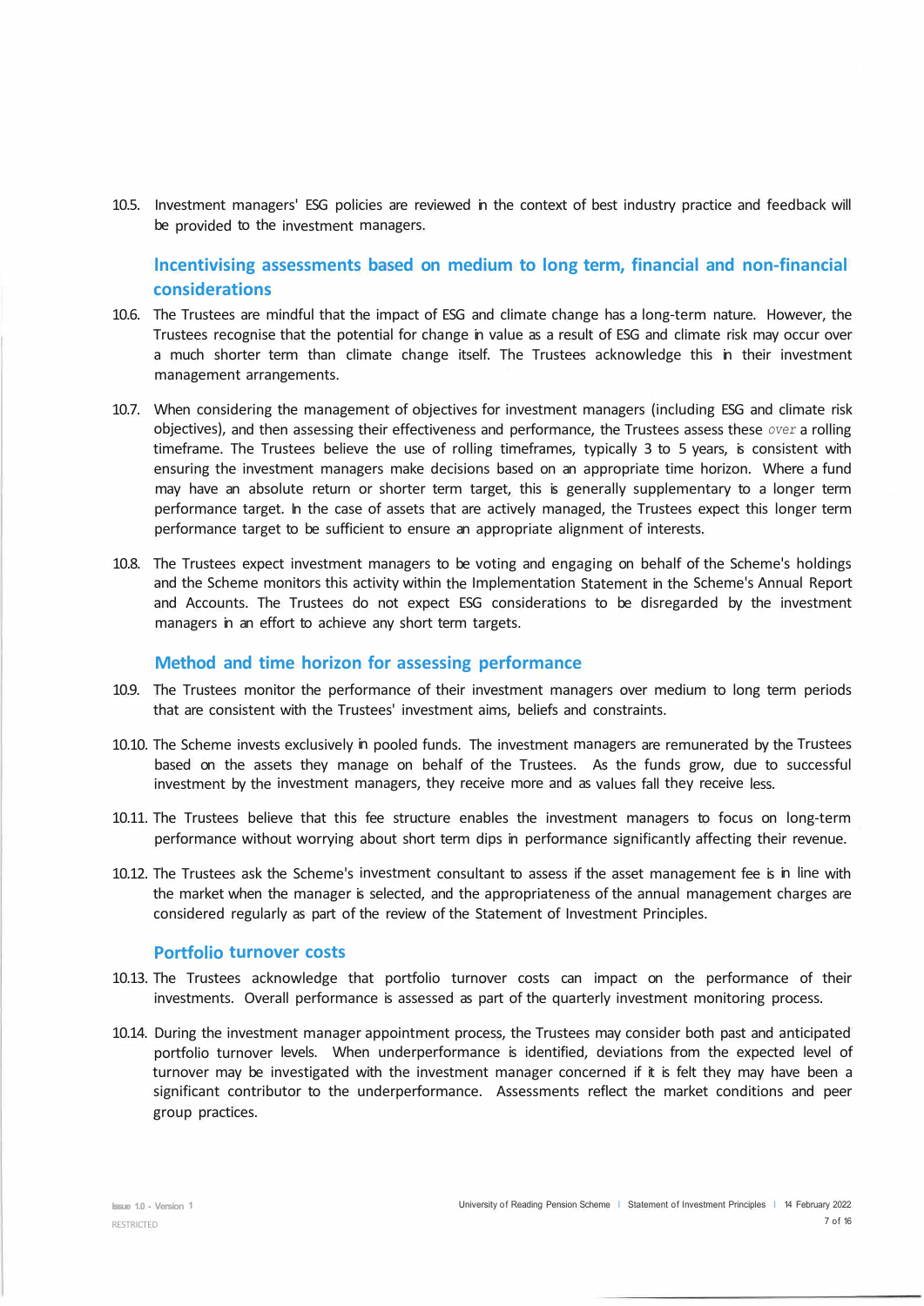10.5. Investment managers' ESG policies are reviewed in the context of best industry practice and feedback will be provided to the investment managers.

**lncentivising assessments based on medium to long term, financial and non-financial considerations** 

- 10.6. The Trustees are mindful that the impact of ESG and climate change has a long-term nature. However, the Trustees recognise that the potential for change in value as a result of ESG and climate risk may occur over a much shorter term than climate change itself. The Trustees acknowledge this in their investment management arrangements.
- 10.7. When considering the management of objectives for investment managers (including ESG and climate risk objectives), and then assessing their effectiveness and performance, the Trustees assess these *over* a rolling timeframe. The Trustees believe the use of rolling timeframes, typically 3 to 5 years, is consistent with ensuring the investment managers make decisions based on an appropriate time horizon. Where a fund may have an absolute return or shorter term target, this is generally supplementary to a longer term performance target. In the case of assets that are actively managed, the Trustees expect this longer term performance target to be sufficient to ensure an appropriate alignment of interests.
- 10.8. The Trustees expect investment managers to be voting and engaging on behalf of the Scheme's holdings and the Scheme monitors this activity within the Implementation Statement in the Scheme's Annual Report and Accounts. The Trustees do not expect ESG considerations to be disregarded by the investment managers in an effort to achieve any short term targets.

#### **Method and time horizon for assessing performance**

- 10.9. The Trustees monitor the performance of their investment managers over medium to long term periods that are consistent with the Trustees' investment aims, beliefs and constraints.
- 10.10. The Scheme invests exclusively in pooled funds. The investment managers are remunerated by the Trustees based on the assets they manage on behalf of the Trustees. As the funds grow, due to successful investment by the investment managers, they receive more and as values fall they receive less.
- 10.11. The Trustees believe that this fee structure enables the investment managers to focus on long-term performance without worrying about short term dips in performance significantly affecting their revenue.
- 10.12. The Trustees ask the Scheme's investment consultant to assess if the asset management fee is in line with the market when the manager is selected, and the appropriateness of the annual management charges are considered regularly as part of the review of the Statement of Investment Principles.

#### **Portfolio turnover costs**

- 10.13. The Trustees acknowledge that portfolio turnover costs can impact on the performance of their investments. Overall performance is assessed as part of the quarterly investment monitoring process.
- 10.14. During the investment manager appointment process, the Trustees may consider both past and anticipated portfolio turnover levels. When underperformance is identified, deviations from the expected level of turnover may be investigated with the investment manager concerned if it is felt they may have been a significant contributor to the underperformance. Assessments reflect the market conditions and peer group practices.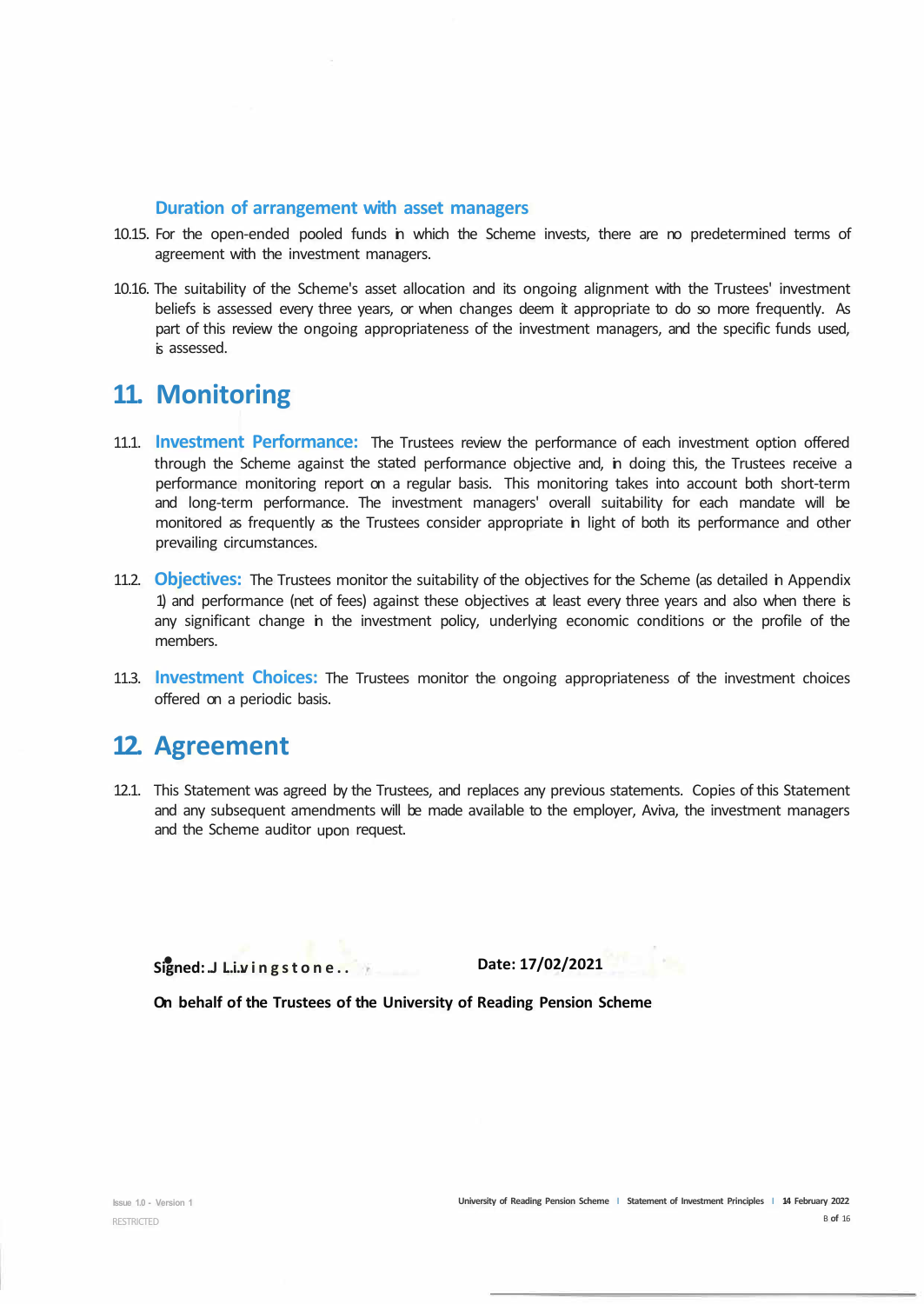#### **Duration of arrangement with asset managers**

- 10.15. For the open-ended pooled funds in which the Scheme invests, there are no predetermined terms of agreement with the investment managers.
- 10.16. The suitability of the Scheme's asset allocation and its ongoing alignment with the Trustees' investment beliefs is assessed every three years, or when changes deem it appropriate to do so more frequently. As part of this review the ongoing appropriateness of the investment managers, and the specific funds used, is assessed.

# **11. Monitoring**

- 11.1. **Investment Performance:** The Trustees review the performance of each investment option offered through the Scheme against the stated performance objective and, in doing this, the Trustees receive a performance monitoring report on a regular basis. This monitoring takes into account both short-term and long-term performance. The investment managers' overall suitability for each mandate will be monitored as frequently as the Trustees consider appropriate in light of both its performance and other prevailing circumstances.
- 11.2. **Objectives:** The Trustees monitor the suitability of the objectives for the Scheme (as detailed in Appendix 1) and performance (net of fees) against these objectives at least every three years and also when there is any significant change in the investment policy, underlying economic conditions or the profile of the members.
- 11.3. **Investment Choices:** The Trustees monitor the ongoing appropriateness of the investment choices offered on a periodic basis.

# **12. Agreement**

12.1. This Statement was agreed by the Trustees, and replaces any previous statements. Copies of this Statement and any subsequent amendments will be made available to the employer, Aviva, the investment managers and the Scheme auditor upon request.

**. Signed: ..J Livingstone ...... ..** 

**Date: 17/02/2021**

**On behalf of the Trustees of the University of Reading Pension Scheme**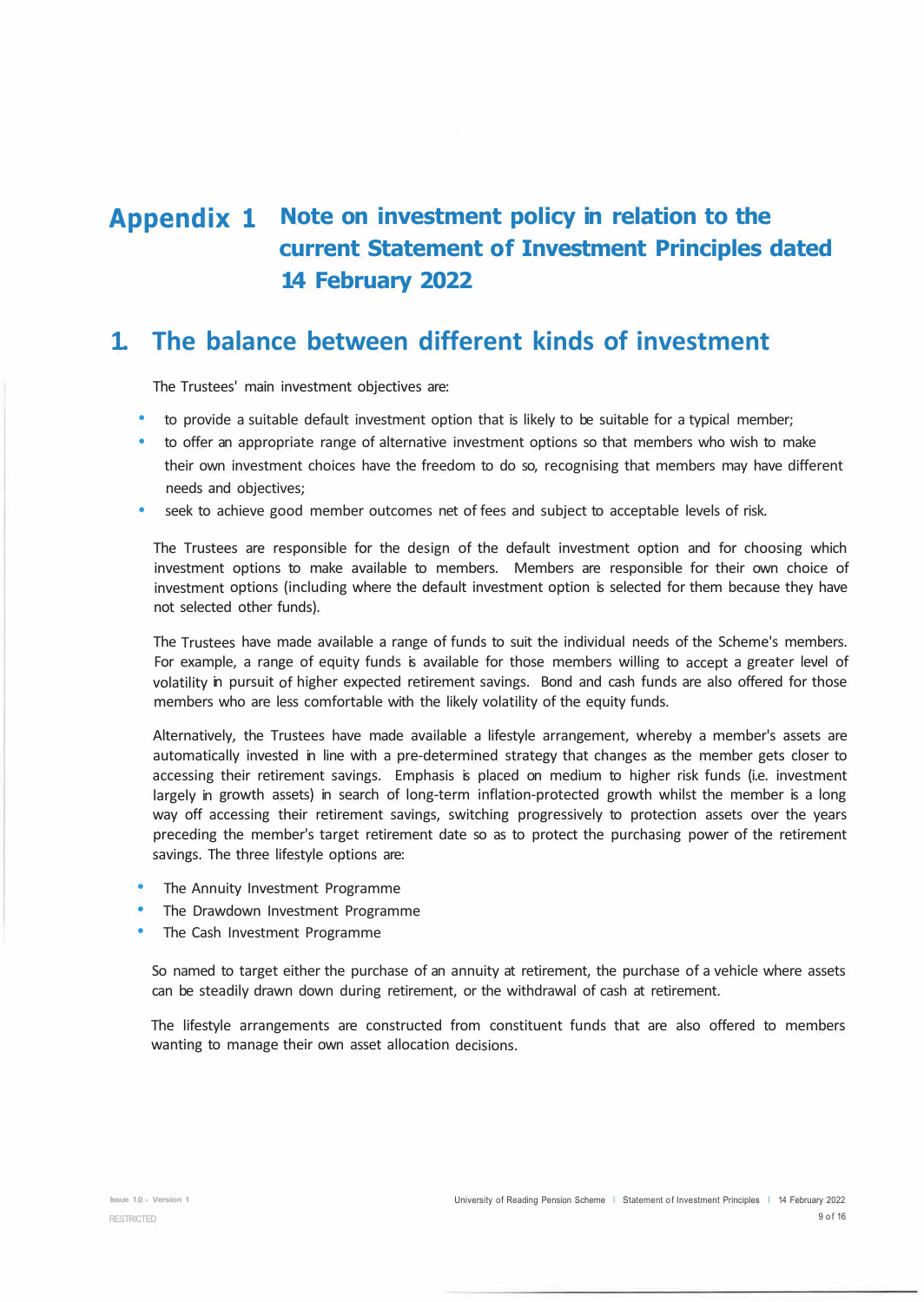# **Appendix 1 Note on investment policy in relation to the current Statement of Investment Principles dated 14 February 2022**

# **1. The balance between different kinds of investment**

The Trustees' main investment objectives are:

- to provide a suitable default investment option that is likely to be suitable for a typical member;
- to offer an appropriate range of alternative investment options so that members who wish to make their own investment choices have the freedom to do so, recognising that members may have different needs and objectives;
- seek to achieve good member outcomes net of fees and subject to acceptable levels of risk.

The Trustees are responsible for the design of the default investment option and for choosing which investment options to make available to members. Members are responsible for their own choice of investment options (including where the default investment option is selected for them because they have not selected other funds).

The Trustees have made available a range of funds to suit the individual needs of the Scheme's members. For example, a range of equity funds is available for those members willing to accept a greater level of volatility in pursuit of higher expected retirement savings. Bond and cash funds are also offered for those members who are less comfortable with the likely volatility of the equity funds.

Alternatively, the Trustees have made available a lifestyle arrangement, whereby a member's assets are automatically invested in line with a pre-determined strategy that changes as the member gets closer to accessing their retirement savings. Emphasis is placed on medium to higher risk funds (i.e. investment largely in growth assets) in search of long-term inflation-protected growth whilst the member is a long way off accessing their retirement savings, switching progressively to protection assets over the years preceding the member's target retirement date so as to protect the purchasing power of the retirement savings. The three lifestyle options are:

- The Annuity Investment Programme
- The Drawdown Investment Programme
- The Cash Investment Programme

So named to target either the purchase of an annuity at retirement, the purchase of a vehicle where assets can be steadily drawn down during retirement, or the withdrawal of cash at retirement.

The lifestyle arrangements are constructed from constituent funds that are also offered to members wanting to manage their own asset allocation decisions.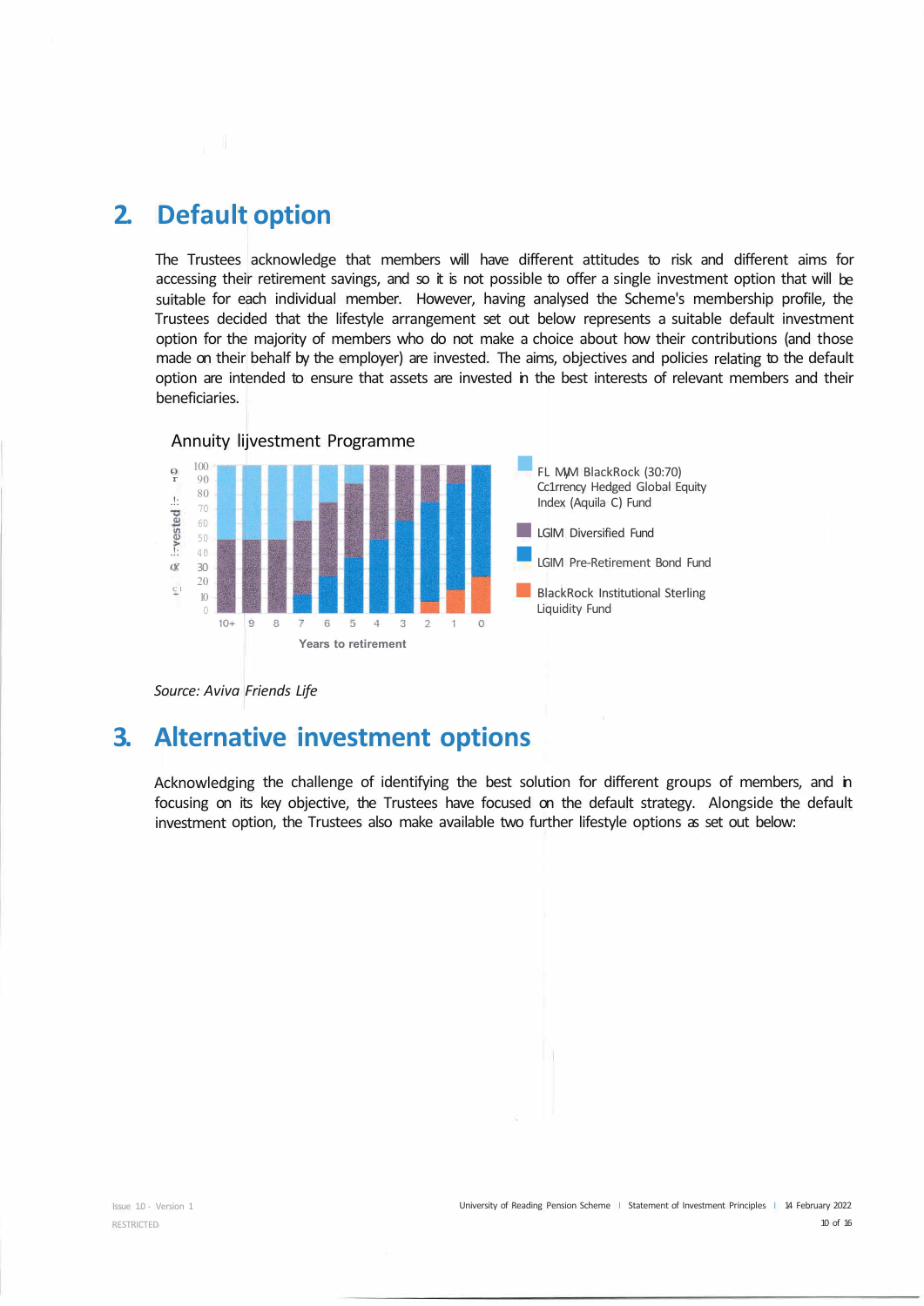# **2. Default option**

The Trustees acknowledge that members will have different attitudes to risk and different aims for accessing their retirement savings, and so it is not possible to offer a single investment option that will be suitable for each individual member. However, having analysed the Scheme's membership profile, the Trustees decided that the lifestyle arrangement set out below represents a suitable default investment option for the majority of members who do not make a choice about how their contributions (and those made on their behalf by the employer) are invested. The aims, objectives and policies relating to the default option are intended to ensure that assets are invested in the best interests of relevant members and their beneficiaries.



*Source: Aviva Friends Life* 

### **3. Alternative investment options**

Acknowledging the challenge of identifying the best solution for different groups of members, and in focusing on its key objective, the Trustees have focused on the default strategy. Alongside the default investment option, the Trustees also make available two further lifestyle options as set out below: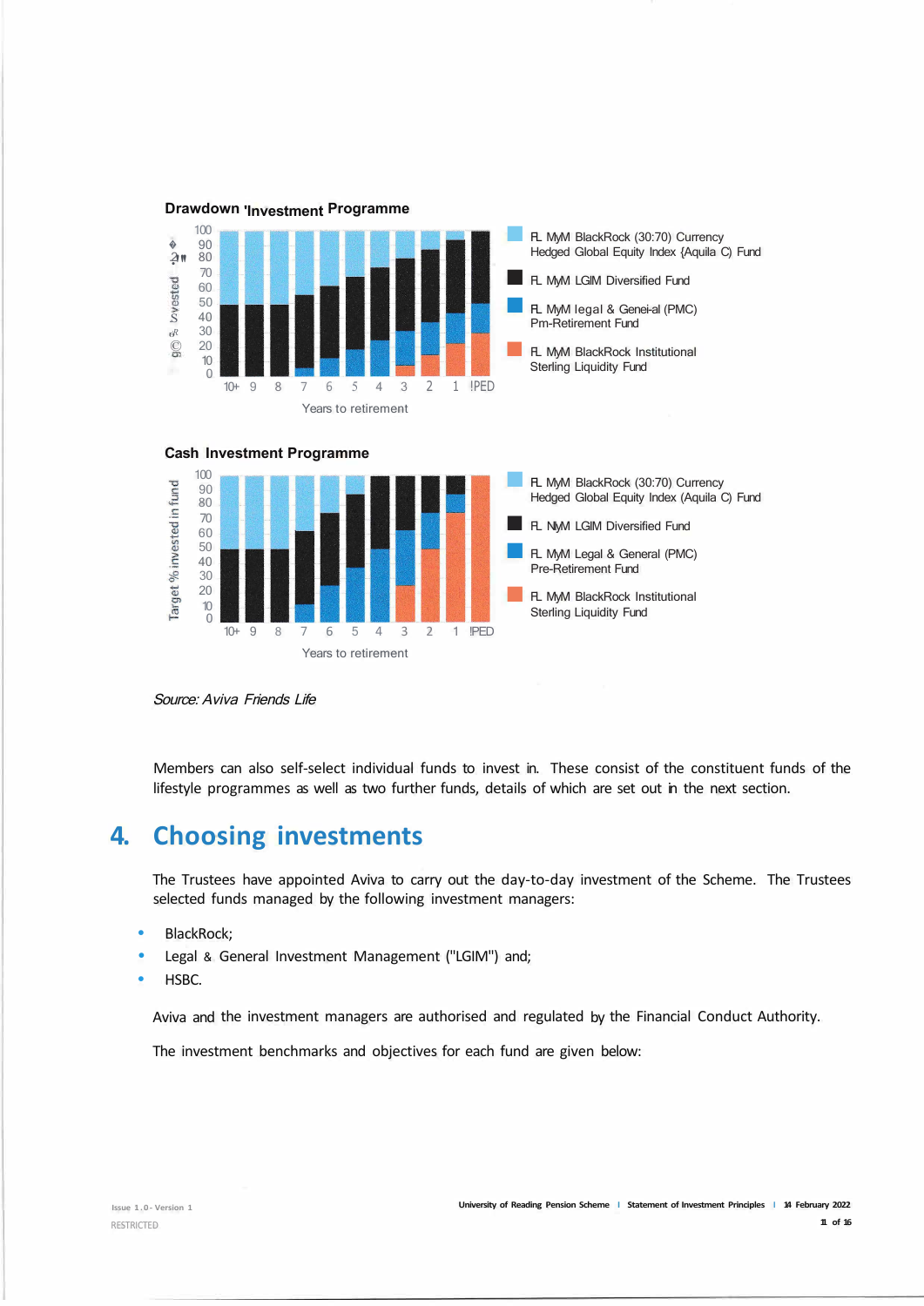





Source: Aviva Friends Life

Members can also self-select individual funds to invest in. These consist of the constituent funds of the lifestyle programmes as well as two further funds, details of which are set out in the next section.

# **4. Choosing investments**

The Trustees have appointed Aviva to carry out the day-to-day investment of the Scheme. The Trustees selected funds managed by the following investment managers:

- BlackRock;
- Legal & General Investment Management ("LGIM") and;
- HSBC.

Aviva and the investment managers are authorised and regulated by the Financial Conduct Authority.

The investment benchmarks and objectives for each fund are given below: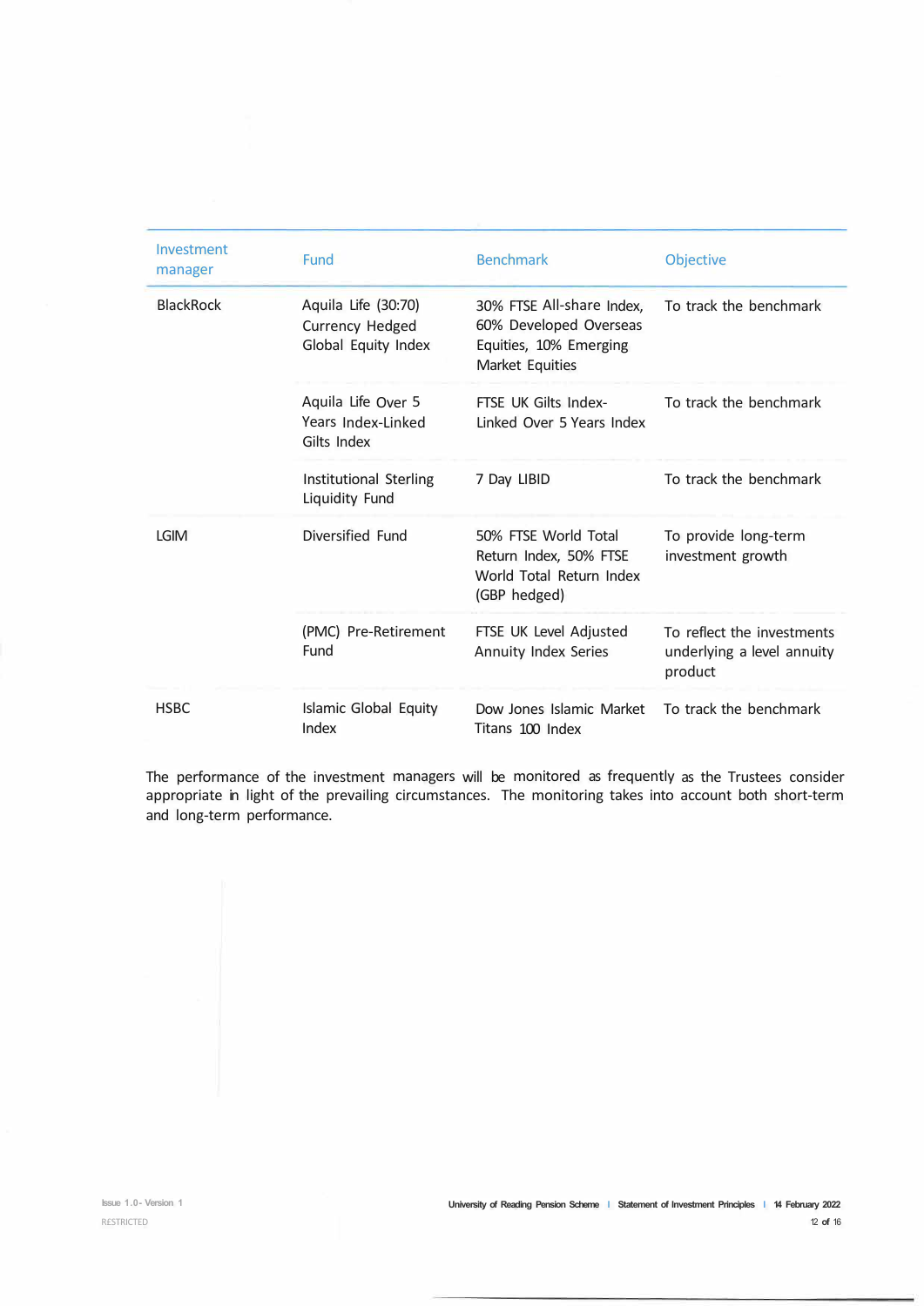| Investment<br>manager | Fund                                                          | <b>Benchmark</b>                                                                                 | <b>Objective</b>                                                    |
|-----------------------|---------------------------------------------------------------|--------------------------------------------------------------------------------------------------|---------------------------------------------------------------------|
| <b>BlackRock</b>      | Aquila Life (30:70)<br>Currency Hedged<br>Global Equity Index | 30% FTSE All-share Index,<br>60% Developed Overseas<br>Equities, 10% Emerging<br>Market Equities | To track the benchmark                                              |
|                       | Aquila Life Over 5<br>Years Index-Linked<br>Gilts Index       | FTSE UK Gilts Index-<br>Linked Over 5 Years Index                                                | To track the benchmark                                              |
|                       | Institutional Sterling<br><b>Liquidity Fund</b>               | 7 Day LIBID                                                                                      | To track the benchmark                                              |
| <b>LGIM</b>           | Diversified Fund                                              | 50% FTSF World Total<br>Return Index, 50% FTSE<br>World Total Return Index<br>(GBP hedged)       | To provide long-term<br>investment growth                           |
|                       | (PMC) Pre-Retirement<br>Fund                                  | FTSE UK Level Adjusted<br>Annuity Index Series                                                   | To reflect the investments<br>underlying a level annuity<br>product |
| <b>HSBC</b>           | Islamic Global Equity<br>Index                                | Dow Jones Islamic Market<br>Titans 100 Index                                                     | To track the benchmark                                              |

The performance of the investment managers will be monitored as frequently as the Trustees consider appropriate in light of the prevailing circumstances. The monitoring takes into account both short-term and long-term performance.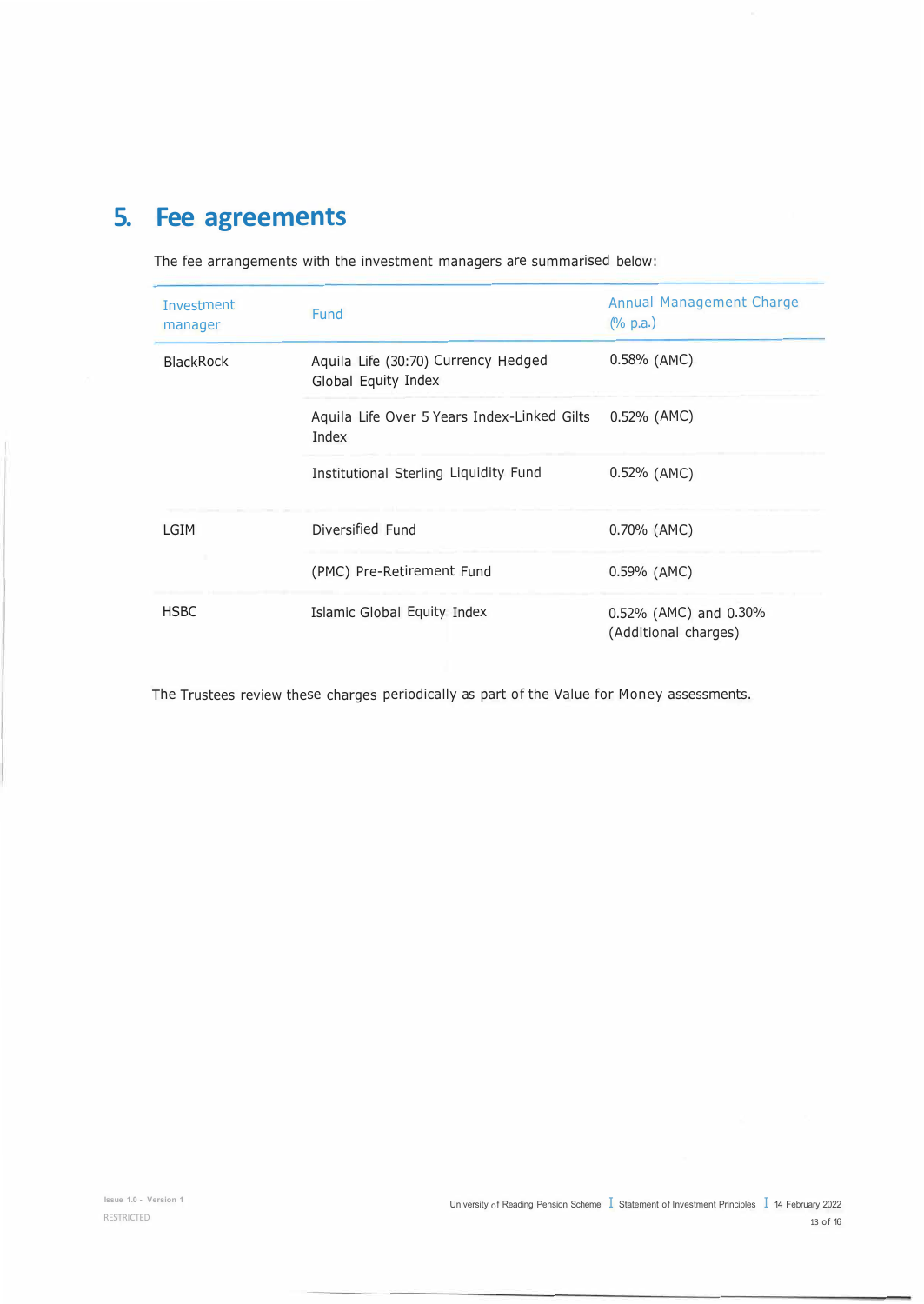# **5. Fee agreements**

The fee arrangements with the investment managers are summarised below:

| Investment<br>manager | <b>Fund</b>                                                 | Annual Management Charge<br>$(\%$ p.a.)             |
|-----------------------|-------------------------------------------------------------|-----------------------------------------------------|
| <b>BlackRock</b>      | Aquila Life (30:70) Currency Hedged<br>Global Equity Index  | 0.58% (AMC)                                         |
|                       | Aquila Life Over 5 Years Index-Linked Gilts<br><b>Index</b> | 0.52% (AMC)                                         |
|                       | Institutional Sterling Liquidity Fund                       | $0.52\%$ (AMC)                                      |
| LGIM                  | Diversified Fund                                            | 0.70% (AMC)                                         |
|                       | (PMC) Pre-Retirement Fund                                   | 0.59% (AMC)                                         |
| <b>HSBC</b>           | Islamic Global Equity Index                                 | $0.52\%$ (AMC) and $0.30\%$<br>(Additional charges) |

The Trustees review these charges periodically as part of the Value for Money assessments.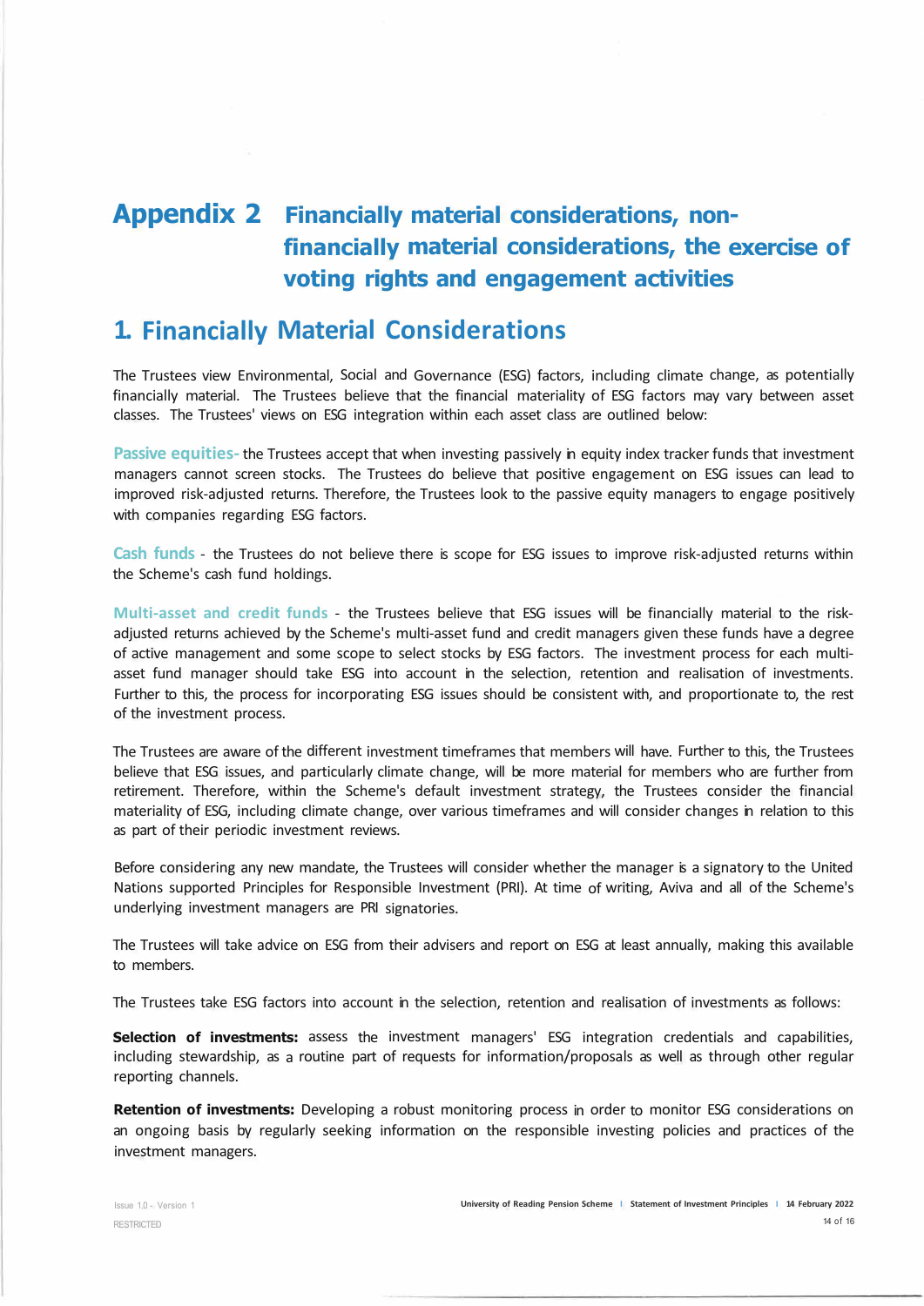# **Appendix 2 Financially material considerations, nonfinancially material considerations, the exercise of voting rights and engagement activities**

# **1. Financially Material Considerations**

The Trustees view Environmental, Social and Governance (ESG) factors, including climate change, as potentially financially material. The Trustees believe that the financial materiality of ESG factors may vary between asset classes. The Trustees' views on ESG integration within each asset class are outlined below:

**Passive equities-** the Trustees accept that when investing passively in equity index tracker funds that investment managers cannot screen stocks. The Trustees do believe that positive engagement on ESG issues can lead to improved risk-adjusted returns. Therefore, the Trustees look to the passive equity managers to engage positively with companies regarding ESG factors.

**Cash funds** - the Trustees do not believe there is scope for ESG issues to improve risk-adjusted returns within the Scheme's cash fund holdings.

**Multi-asset and credit funds** - the Trustees believe that ESG issues will be financially material to the riskadjusted returns achieved by the Scheme's multi-asset fund and credit managers given these funds have a degree of active management and some scope to select stocks by ESG factors. The investment process for each multiasset fund manager should take ESG into account in the selection, retention and realisation of investments. Further to this, the process for incorporating ESG issues should be consistent with, and proportionate to, the rest of the investment process.

The Trustees are aware of the different investment timeframes that members will have. Further to this, the Trustees believe that ESG issues, and particularly climate change, will be more material for members who are further from retirement. Therefore, within the Scheme's default investment strategy, the Trustees consider the financial materiality of ESG, including climate change, over various timeframes and will consider changes in relation to this as part of their periodic investment reviews.

Before considering any new mandate, the Trustees will consider whether the manager is a signatory to the United Nations supported Principles for Responsible Investment (PRI). At time of writing, Aviva and all of the Scheme's underlying investment managers are PRI signatories.

The Trustees will take advice on ESG from their advisers and report on ESG at least annually, making this available to members.

The Trustees take ESG factors into account in the selection, retention and realisation of investments as follows:

**Selection of investments:** assess the investment managers' ESG integration credentials and capabilities, including stewardship, as a routine part of requests for information/proposals as well as through other regular reporting channels.

**Retention of investments:** Developing a robust monitoring process in order to monitor ESG considerations on an ongoing basis by regularly seeking information on the responsible investing policies and practices of the investment managers.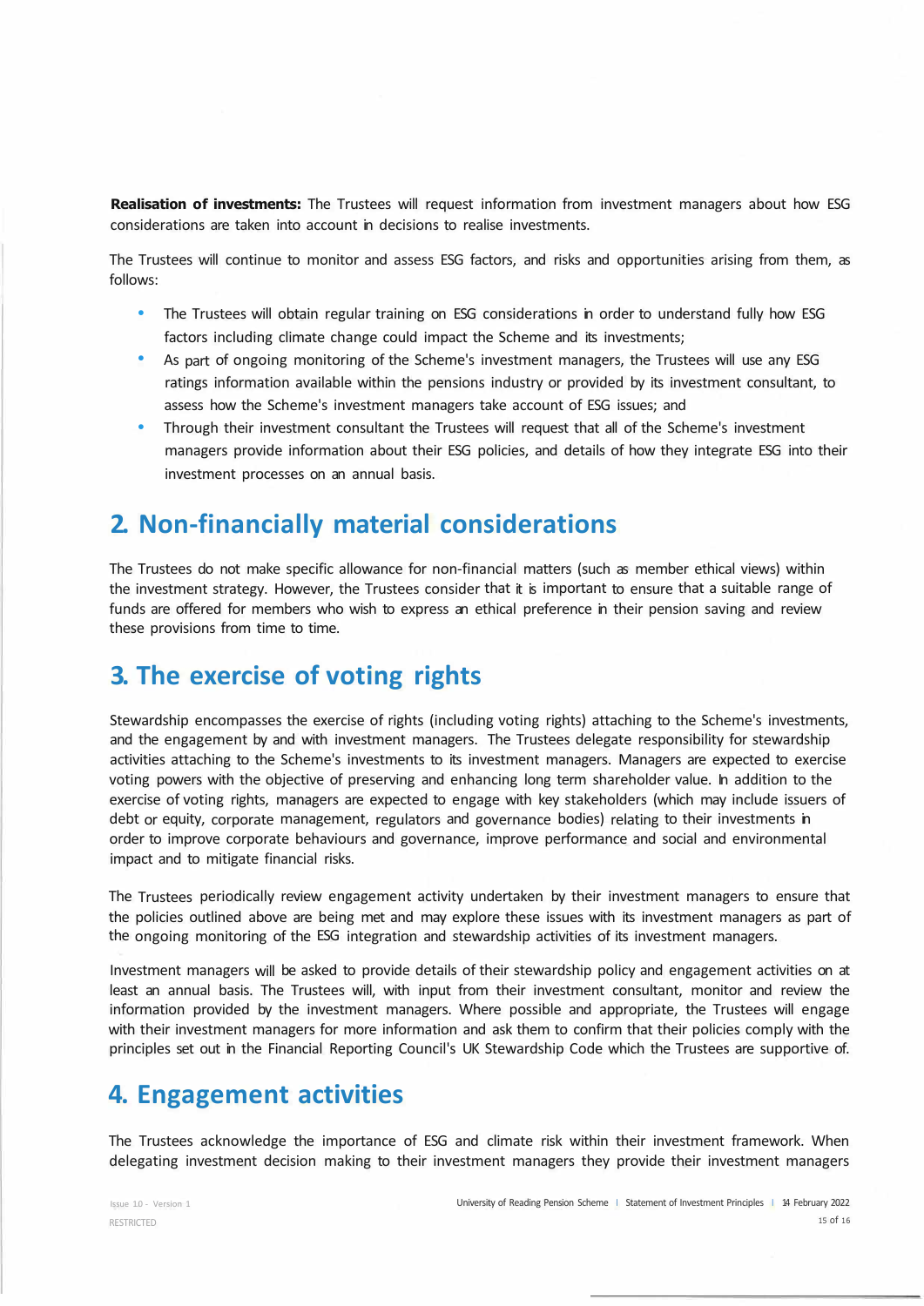**Realisation of investments:** The Trustees will request information from investment managers about how ESG considerations are taken into account in decisions to realise investments.

The Trustees will continue to monitor and assess ESG factors, and risks and opportunities arising from them, as follows:

- The Trustees will obtain regular training on ESG considerations in order to understand fully how ESG factors including climate change could impact the Scheme and its investments;
- As part of ongoing monitoring of the Scheme's investment managers, the Trustees will use any ESG ratings information available within the pensions industry or provided by its investment consultant, to assess how the Scheme's investment managers take account of ESG issues; and
- Through their investment consultant the Trustees will request that all of the Scheme's investment managers provide information about their ESG policies, and details of how they integrate ESG into their investment processes on an annual basis.

### **2. Non-financially material considerations**

The Trustees do not make specific allowance for non-financial matters (such as member ethical views) within the investment strategy. However, the Trustees consider that it is important to ensure that a suitable range of funds are offered for members who wish to express an ethical preference in their pension saving and review these provisions from time to time.

### **3. The exercise of voting rights**

Stewardship encompasses the exercise of rights (including voting rights) attaching to the Scheme's investments, and the engagement by and with investment managers. The Trustees delegate responsibility for stewardship activities attaching to the Scheme's investments to its investment managers. Managers are expected to exercise voting powers with the objective of preserving and enhancing long term shareholder value. In addition to the exercise of voting rights, managers are expected to engage with key stakeholders (which may include issuers of debt or equity, corporate management, regulators and governance bodies) relating to their investments in order to improve corporate behaviours and governance, improve performance and social and environmental impact and to mitigate financial risks.

The Trustees periodically review engagement activity undertaken by their investment managers to ensure that the policies outlined above are being met and may explore these issues with its investment managers as part of the ongoing monitoring of the ESG integration and stewardship activities of its investment managers.

Investment managers will be asked to provide details of their stewardship policy and engagement activities on at least an annual basis. The Trustees will, with input from their investment consultant, monitor and review the information provided by the investment managers. Where possible and appropriate, the Trustees will engage with their investment managers for more information and ask them to confirm that their policies comply with the principles set out in the Financial Reporting Council's UK Stewardship Code which the Trustees are supportive of.

### **4. Engagement activities**

The Trustees acknowledge the importance of ESG and climate risk within their investment framework. When delegating investment decision making to their investment managers they provide their investment managers